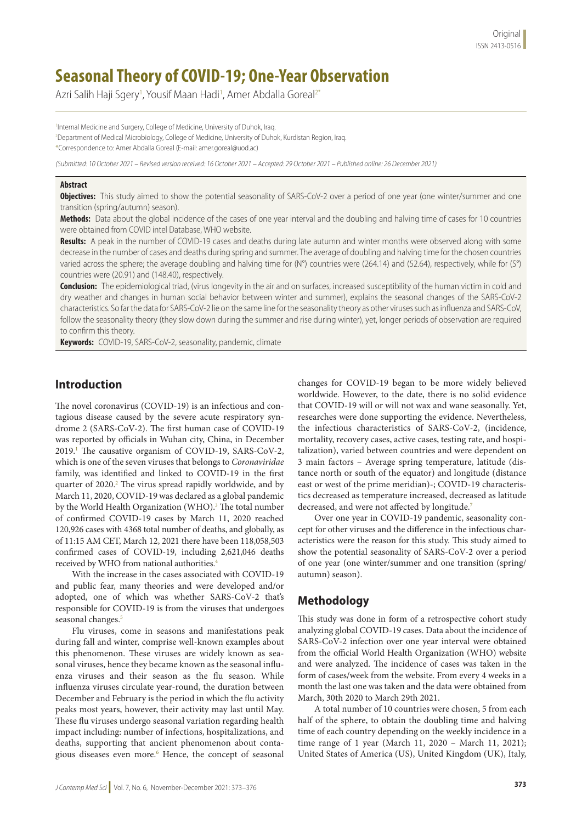# **Seasonal Theory of COVID-19; One-Year Observation**

Azri Salih Haji Sgery<sup>1</sup>, Yousif Maan Hadi<sup>1</sup>, Amer Abdalla Goreal<sup>2\*</sup>

1 Internal Medicine and Surgery, College of Medicine, University of Duhok, Iraq. 2 Department of Medical Microbiology, College of Medicine, University of Duhok, Kurdistan Region, Iraq. \*Correspondence to: Amer Abdalla Goreal (E-mail: amer.goreal@uod.ac)

*(Submitted: 10 October 2021 – Revised version received: 16 October 2021 – Accepted: 29 October 2021 – Published online: 26 December 2021)*

#### **Abstract**

**Objectives:** This study aimed to show the potential seasonality of SARS-CoV-2 over a period of one year (one winter/summer and one transition (spring/autumn) season).

**Methods:** Data about the global incidence of the cases of one year interval and the doubling and halving time of cases for 10 countries were obtained from COVID intel Database, WHO website.

**Results:** A peak in the number of COVID-19 cases and deaths during late autumn and winter months were observed along with some decrease in the number of cases and deaths during spring and summer. The average of doubling and halving time for the chosen countries varied across the sphere; the average doubling and halving time for (N°) countries were (264.14) and (52.64), respectively, while for (S°) countries were (20.91) and (148.40), respectively.

**Conclusion:** The epidemiological triad, (virus longevity in the air and on surfaces, increased susceptibility of the human victim in cold and dry weather and changes in human social behavior between winter and summer), explains the seasonal changes of the SARS-CoV-2 characteristics. So far the data for SARS-CoV-2 lie on the same line for the seasonality theory as other viruses such as influenza and SARS-CoV, follow the seasonality theory (they slow down during the summer and rise during winter), yet, longer periods of observation are required to confirm this theory.

**Keywords:** COVID-19, SARS-CoV-2, seasonality, pandemic, climate

# **Introduction**

The novel coronavirus (COVID-19) is an infectious and contagious disease caused by the severe acute respiratory syndrome 2 (SARS-CoV-2). The first human case of COVID-19 was reported by officials in Wuhan city, China, in December 2019.<sup>1</sup> The causative organism of COVID-19, SARS-CoV-2, which is one of the seven viruses that belongs to *Coronaviridae*  family, was identified and linked to COVID-19 in the first quarter of 2020.<sup>2</sup> The virus spread rapidly worldwide, and by March 11, 2020, COVID-19 was declared as a global pandemic by the World Health Organization (WHO).<sup>3</sup> The total number of confirmed COVID-19 cases by March 11, 2020 reached 120,926 cases with 4368 total number of deaths, and globally, as of 11:15 AM CET, March 12, 2021 there have been 118,058,503 confirmed cases of COVID-19, including 2,621,046 deaths received by WHO from national authorities.<sup>4</sup>

With the increase in the cases associated with COVID-19 and public fear, many theories and were developed and/or adopted, one of which was whether SARS-CoV-2 that's responsible for COVID-19 is from the viruses that undergoes seasonal changes.<sup>5</sup>

Flu viruses, come in seasons and manifestations peak during fall and winter, comprise well-known examples about this phenomenon. These viruses are widely known as seasonal viruses, hence they became known as the seasonal influenza viruses and their season as the flu season. While influenza viruses circulate year-round, the duration between December and February is the period in which the flu activity [peaks](https://www.cdc.gov/flu/about/season/flu-season.htm) most years, however, their activity may last until May. These flu viruses undergo seasonal variation regarding health impact including: number of infections, hospitalizations, and deaths, supporting that ancient phenomenon about contagious diseases even more.<sup>6</sup> Hence, the concept of seasonal changes for COVID-19 began to be more widely believed worldwide. However, to the date, there is no solid evidence that COVID-19 will or will not wax and wane seasonally. Yet, researches were done supporting the evidence. Nevertheless, the infectious characteristics of SARS-CoV-2, (incidence, mortality, recovery cases, active cases, testing rate, and hospitalization), varied between countries and were dependent on 3 main factors – Average spring temperature, latitude (distance north or south of the equator) and longitude (distance east or west of the prime meridian)-; COVID-19 characteristics decreased as temperature increased, decreased as latitude decreased, and were not affected by longitude.<sup>7</sup>

Over one year in COVID-19 pandemic, seasonality concept for other viruses and the difference in the infectious characteristics were the reason for this study. This study aimed to show the potential seasonality of SARS-CoV-2 over a period of one year (one winter/summer and one transition (spring/ autumn) season).

#### **Methodology**

This study was done in form of a retrospective cohort study analyzing global COVID-19 cases. Data about the incidence of SARS-CoV-2 infection over one year interval were obtained from the official World Health Organization (WHO) website and were analyzed. The incidence of cases was taken in the form of cases/week from the website. From every 4 weeks in a month the last one was taken and the data were obtained from March, 30th 2020 to March 29th 2021.

A total number of 10 countries were chosen, 5 from each half of the sphere, to obtain the doubling time and halving time of each country depending on the weekly incidence in a time range of 1 year (March 11, 2020 – March 11, 2021); United States of America (US), United Kingdom (UK), Italy,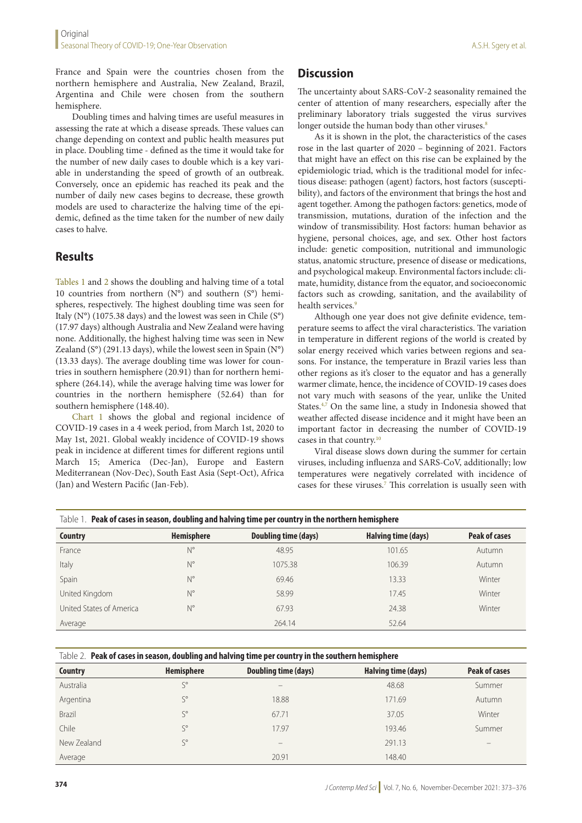France and Spain were the countries chosen from the northern hemisphere and Australia, New Zealand, Brazil, Argentina and Chile were chosen from the southern hemisphere.

Doubling times and halving times are useful measures in assessing the rate at which a disease spreads. These values can change depending on context and public health measures put in place. Doubling time - defined as the time it would take for the number of new daily cases to double which is a key variable in understanding the speed of growth of an outbreak. Conversely, once an epidemic has reached its peak and the number of daily new cases begins to decrease, these growth models are used to characterize the halving time of the epidemic, defined as the time taken for the number of new daily cases to halve.

# **Results**

Tables 1 and 2 shows the doubling and halving time of a total 10 countries from northern  $(N^{\circ})$  and southern  $(S^{\circ})$  hemispheres, respectively. The highest doubling time was seen for Italy (N°) (1075.38 days) and the lowest was seen in Chile (S°) (17.97 days) although Australia and New Zealand were having none. Additionally, the highest halving time was seen in New Zealand ( $S^{\circ}$ ) (291.13 days), while the lowest seen in Spain ( $N^{\circ}$ ) (13.33 days). The average doubling time was lower for countries in southern hemisphere (20.91) than for northern hemisphere (264.14), while the average halving time was lower for countries in the northern hemisphere (52.64) than for southern hemisphere (148.40).

Chart 1 shows the global and regional incidence of COVID-19 cases in a 4 week period, from March 1st, 2020 to May 1st, 2021. Global weakly incidence of COVID-19 shows peak in incidence at different times for different regions until March 15; America (Dec-Jan), Europe and Eastern Mediterranean (Nov-Dec), South East Asia (Sept-Oct), Africa (Jan) and Western Pacific (Jan-Feb).

# **Discussion**

The uncertainty about SARS-CoV-2 seasonality remained the center of attention of many researchers, especially after the preliminary laboratory trials suggested the virus survives longer outside the human body than other viruses.<sup>8</sup>

As it is shown in the plot, the characteristics of the cases rose in the last quarter of 2020 – beginning of 2021. Factors that might have an effect on this rise can be explained by the epidemiologic triad, which is the traditional model for infectious disease: pathogen (agent) factors, host factors (susceptibility), and factors of the environment that brings the host and agent together. Among the pathogen factors: genetics, mode of transmission, mutations, duration of the infection and the window of transmissibility. Host factors: human behavior as hygiene, personal choices, age, and sex. Other host factors include: genetic composition, nutritional and immunologic status, anatomic structure, presence of disease or medications, and psychological makeup. Environmental factors include: climate, humidity, distance from the equator, and socioeconomic factors such as crowding, sanitation, and the availability of health services<sup>9</sup>

Although one year does not give definite evidence, temperature seems to affect the viral characteristics. The variation in temperature in different regions of the world is created by solar energy received which varies between regions and seasons. For instance, the temperature in Brazil varies less than other regions as it's closer to the equator and has a generally warmer climate, hence, the incidence of COVID-19 cases does not vary much with seasons of the year, unlike the United States.<sup>4,7</sup> On the same line, a study in Indonesia showed that weather affected disease incidence and it might have been an important factor in decreasing the number of COVID-19 cases in that country.10

Viral disease slows down during the summer for certain viruses, including influenza and SARS-CoV, additionally; low temperatures were negatively correlated with incidence of cases for these viruses.<sup>7</sup> This correlation is usually seen with

| Table 1. Peak of cases in season, doubling and halving time per country in the northern hemisphere |                   |                      |                     |                      |  |  |
|----------------------------------------------------------------------------------------------------|-------------------|----------------------|---------------------|----------------------|--|--|
| Country                                                                                            | <b>Hemisphere</b> | Doubling time (days) | Halving time (days) | <b>Peak of cases</b> |  |  |
| France                                                                                             | N°                | 48.95                | 101.65              | Autumn               |  |  |
| Italy                                                                                              | N°                | 1075.38              | 106.39              | Autumn               |  |  |
| Spain                                                                                              | N°                | 69.46                | 13.33               | Winter               |  |  |
| United Kingdom                                                                                     | $N^{\circ}$       | 58.99                | 17.45               | Winter               |  |  |
| United States of America                                                                           | $N^{\circ}$       | 67.93                | 24.38               | Winter               |  |  |
| Average                                                                                            |                   | 264.14               | 52.64               |                      |  |  |

Table 2. **Peak of cases in season, doubling and halving time per country in the southern hemisphere**

| <b>Country</b> | <b>Hemisphere</b> | Doubling time (days) | Halving time (days) | Peak of cases |
|----------------|-------------------|----------------------|---------------------|---------------|
| Australia      | $S^{\circ}$       | -                    | 48.68               | Summer        |
| Argentina      | $S^{\circ}$       | 18.88                | 171.69              | Autumn        |
| <b>Brazil</b>  | $S^{\circ}$       | 67.71                | 37.05               | Winter        |
| Chile          | $S^{\circ}$       | 17.97                | 193.46              | Summer        |
| New Zealand    | $S^{\circ}$       | -                    | 291.13              |               |
| Average        |                   | 20.91                | 148.40              |               |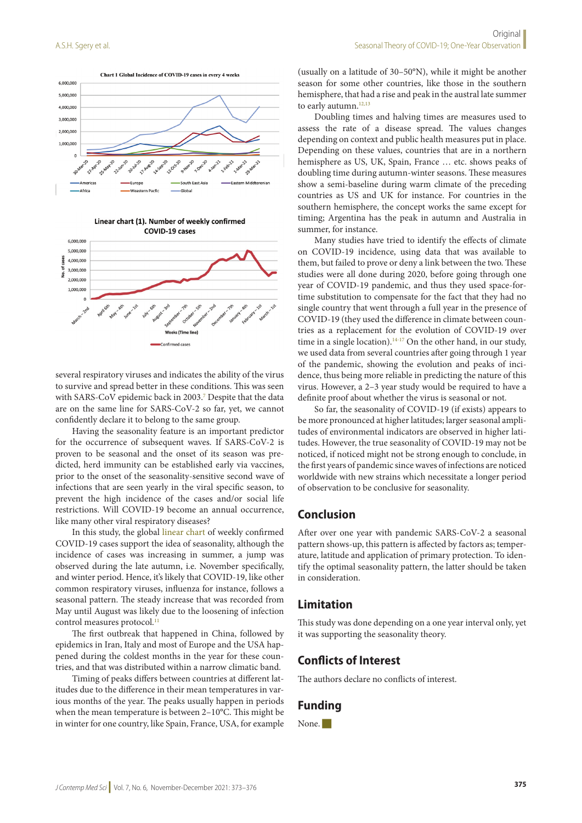





several respiratory viruses and indicates the ability of the virus to survive and spread better in these conditions. This was seen with SARS-CoV epidemic back in 2003.<sup>7</sup> Despite that the data are on the same line for SARS-CoV-2 so far, yet, we cannot confidently declare it to belong to the same group.

Having the seasonality feature is an important predictor for the occurrence of subsequent waves. If SARS-CoV-2 is proven to be seasonal and the onset of its season was predicted, herd immunity can be established early via vaccines, prior to the onset of the seasonality-sensitive second wave of infections that are seen yearly in the viral specific season, to prevent the high incidence of the cases and/or social life restrictions. Will COVID-19 become an annual occurrence, like many other viral respiratory diseases?

In this study, the global linear chart of weekly confirmed COVID-19 cases support the idea of seasonality, although the incidence of cases was increasing in summer, a jump was observed during the late autumn, i.e. November specifically, and winter period. Hence, it's likely that COVID-19, like other common respiratory viruses, influenza for instance, follows a seasonal pattern. The steady increase that was recorded from May until August was likely due to the loosening of infection control measures protocol.<sup>11</sup>

The first outbreak that happened in China, followed by epidemics in Iran, Italy and most of Europe and the USA happened during the coldest months in the year for these countries, and that was distributed within a narrow climatic band.

Timing of peaks differs between countries at different latitudes due to the difference in their mean temperatures in various months of the year. The peaks usually happen in periods when the mean temperature is between 2–10°C. This might be in winter for one country, like Spain, France, USA, for example

(usually on a latitude of 30–50°N), while it might be another season for some other countries, like those in the southern hemisphere, that had a rise and peak in the austral late summer to early autumn.<sup>12,13</sup>

Doubling times and halving times are measures used to assess the rate of a disease spread. The values changes depending on context and public health measures put in place. Depending on these values, countries that are in a northern hemisphere as US, UK, Spain, France ... etc. shows peaks of doubling time during autumn-winter seasons. These measures show a semi-baseline during warm climate of the preceding countries as US and UK for instance. For countries in the southern hemisphere, the concept works the same except for timing; Argentina has the peak in autumn and Australia in summer, for instance.

Many studies have tried to identify the effects of climate on COVID-19 incidence, using data that was available to them, but failed to prove or deny a link between the two. These studies were all done during 2020, before going through one year of COVID-19 pandemic, and thus they used space-fortime substitution to compensate for the fact that they had no single country that went through a full year in the presence of COVID-19 (they used the difference in climate between countries as a replacement for the evolution of COVID-19 over time in a single location).<sup>14-17</sup> On the other hand, in our study, we used data from several countries after going through 1 year of the pandemic, showing the evolution and peaks of incidence, thus being more reliable in predicting the nature of this virus. However, a 2–3 year study would be required to have a definite proof about whether the virus is seasonal or not.

So far, the seasonality of COVID-19 (if exists) appears to be more pronounced at higher latitudes; larger seasonal amplitudes of environmental indicators are observed in higher latitudes. However, the true seasonality of COVID-19 may not be noticed, if noticed might not be strong enough to conclude, in the first years of pandemic since waves of infections are noticed worldwide with new strains which necessitate a longer period of observation to be conclusive for seasonality.

### **Conclusion**

After over one year with pandemic SARS-CoV-2 a seasonal pattern shows-up, this pattern is affected by factors as; temperature, latitude and application of primary protection. To identify the optimal seasonality pattern, the latter should be taken in consideration.

#### **Limitation**

This study was done depending on a one year interval only, yet it was supporting the seasonality theory.

#### **Conflicts of Interest**

The authors declare no conflicts of interest.

# **Funding**

None.